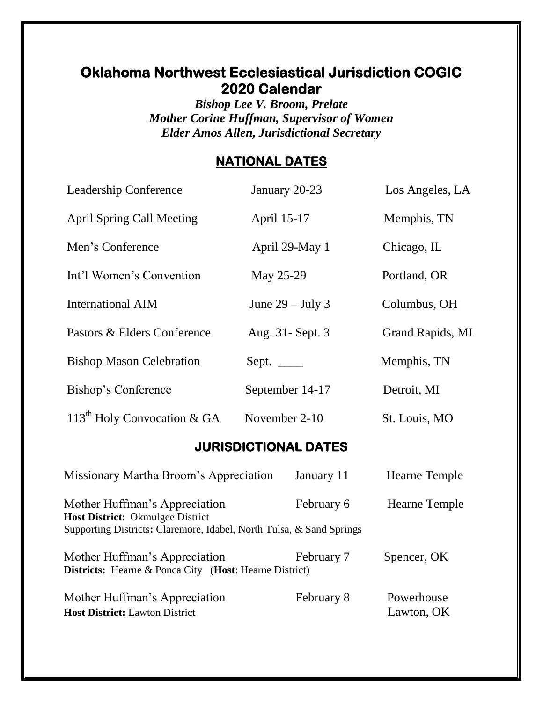## **Oklahoma Northwest Ecclesiastical Jurisdiction COGIC 2020 Calendar**

*Bishop Lee V. Broom, Prelate Mother Corine Huffman, Supervisor of Women Elder Amos Allen, Jurisdictional Secretary*

### **NATIONAL DATES**

| Leadership Conference                                                                                                                     | January 20-23      | Los Angeles, LA      |  |  |  |  |
|-------------------------------------------------------------------------------------------------------------------------------------------|--------------------|----------------------|--|--|--|--|
| <b>April Spring Call Meeting</b>                                                                                                          | April 15-17        | Memphis, TN          |  |  |  |  |
| Men's Conference                                                                                                                          | April 29-May 1     | Chicago, IL          |  |  |  |  |
| Int'l Women's Convention                                                                                                                  | May 25-29          | Portland, OR         |  |  |  |  |
| <b>International AIM</b>                                                                                                                  | June $29 -$ July 3 | Columbus, OH         |  |  |  |  |
| Pastors & Elders Conference                                                                                                               | Aug. 31 - Sept. 3  | Grand Rapids, MI     |  |  |  |  |
| <b>Bishop Mason Celebration</b>                                                                                                           | Sept. $\_\_$       | Memphis, TN          |  |  |  |  |
| Bishop's Conference                                                                                                                       | September 14-17    | Detroit, MI          |  |  |  |  |
| $113th$ Holy Convocation & GA                                                                                                             | November 2-10      | St. Louis, MO        |  |  |  |  |
| <b>JURISDICTIONAL DATES</b>                                                                                                               |                    |                      |  |  |  |  |
| <b>Missionary Martha Broom's Appreciation</b>                                                                                             | January 11         | <b>Hearne Temple</b> |  |  |  |  |
| Mother Huffman's Appreciation<br>Host District: Okmulgee District<br>Supporting Districts: Claremore, Idabel, North Tulsa, & Sand Springs | February 6         | Hearne Temple        |  |  |  |  |
| Mother Huffman's Appreciation<br><b>Districts:</b> Hearne & Ponca City (Host: Hearne District)                                            | February 7         | Spencer, OK          |  |  |  |  |
| Mother Huffman's Appreciation                                                                                                             | February 8         | Powerhouse           |  |  |  |  |

**Host District:** Lawton District Lawton, OK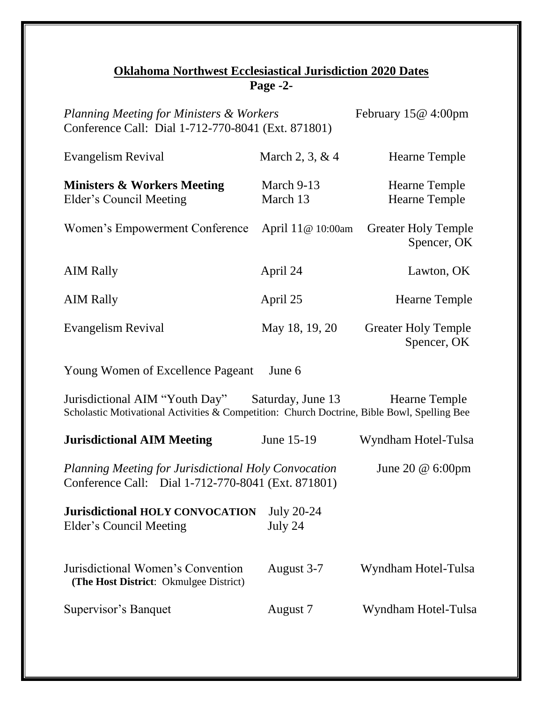#### **Oklahoma Northwest Ecclesiastical Jurisdiction 2020 Dates Page -2-**

| <b>Planning Meeting for Ministers &amp; Workers</b><br>February 15@ 4:00pm<br>Conference Call: Dial 1-712-770-8041 (Ext. 871801)                                        |                              |                                              |  |  |
|-------------------------------------------------------------------------------------------------------------------------------------------------------------------------|------------------------------|----------------------------------------------|--|--|
| Evangelism Revival                                                                                                                                                      | March 2, 3, & 4              | Hearne Temple                                |  |  |
| <b>Ministers &amp; Workers Meeting</b><br><b>Elder's Council Meeting</b>                                                                                                | March 9-13<br>March 13       | <b>Hearne Temple</b><br><b>Hearne Temple</b> |  |  |
| Women's Empowerment Conference                                                                                                                                          | April 11@ 10:00am            | <b>Greater Holy Temple</b><br>Spencer, OK    |  |  |
| <b>AIM Rally</b>                                                                                                                                                        | April 24                     | Lawton, OK                                   |  |  |
| <b>AIM Rally</b>                                                                                                                                                        | April 25                     | <b>Hearne Temple</b>                         |  |  |
| Evangelism Revival                                                                                                                                                      | May 18, 19, 20               | <b>Greater Holy Temple</b><br>Spencer, OK    |  |  |
| <b>Young Women of Excellence Pageant</b>                                                                                                                                | June 6                       |                                              |  |  |
| Jurisdictional AIM "Youth Day" Saturday, June 13<br><b>Hearne Temple</b><br>Scholastic Motivational Activities & Competition: Church Doctrine, Bible Bowl, Spelling Bee |                              |                                              |  |  |
| <b>Jurisdictional AIM Meeting</b>                                                                                                                                       | June 15-19                   | Wyndham Hotel-Tulsa                          |  |  |
| Planning Meeting for Jurisdictional Holy Convocation<br>June 20 $@$ 6:00pm<br>Conference Call: Dial 1-712-770-8041 (Ext. 871801)                                        |                              |                                              |  |  |
| <b>Jurisdictional HOLY CONVOCATION</b><br>Elder's Council Meeting                                                                                                       | <b>July 20-24</b><br>July 24 |                                              |  |  |
| Jurisdictional Women's Convention<br>(The Host District: Okmulgee District)                                                                                             | August 3-7                   | Wyndham Hotel-Tulsa                          |  |  |
| Supervisor's Banquet                                                                                                                                                    | August 7                     | Wyndham Hotel-Tulsa                          |  |  |